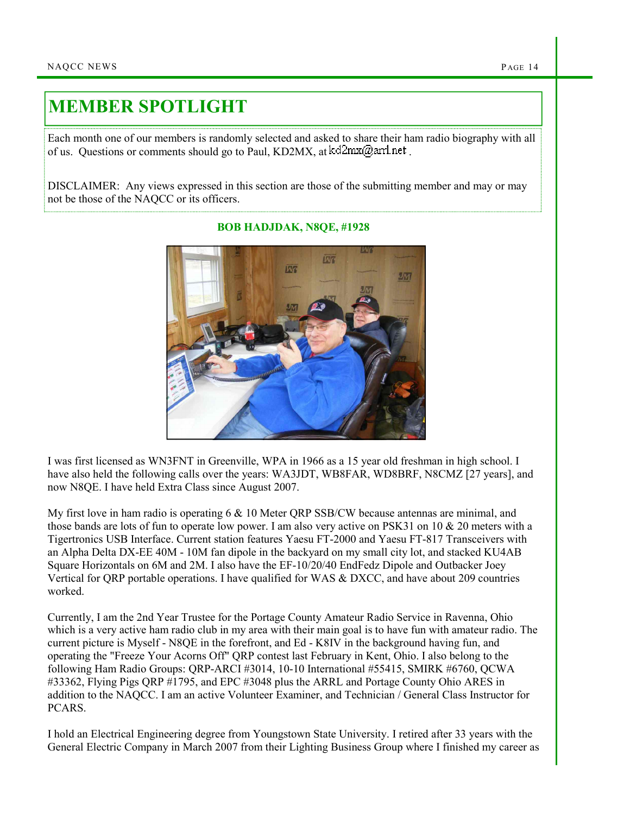## MEMBER SPOTLIGHT

Each month one of our members is randomly selected and asked to share their ham radio biography with all of us. Questions or comments should go to Paul, KD2MX, at  $kd2mx@ar1net$ .

DISCLAIMER: Any views expressed in this section are those of the submitting member and may or may not be those of the NAQCC or its officers.



## BOB HADJDAK, N8QE, #1928

I was first licensed as WN3FNT in Greenville, WPA in 1966 as a 15 year old freshman in high school. I have also held the following calls over the years: WA3JDT, WB8FAR, WD8BRF, N8CMZ [27 years], and now N8QE. I have held Extra Class since August 2007.

My first love in ham radio is operating  $6 \& 10$  Meter ORP SSB/CW because antennas are minimal, and those bands are lots of fun to operate low power. I am also very active on PSK31 on 10 & 20 meters with a Tigertronics USB Interface. Current station features Yaesu FT-2000 and Yaesu FT-817 Transceivers with an Alpha Delta DX-EE 40M - 10M fan dipole in the backyard on my small city lot, and stacked KU4AB Square Horizontals on 6M and 2M. I also have the EF-10/20/40 EndFedz Dipole and Outbacker Joey Vertical for QRP portable operations. I have qualified for WAS & DXCC, and have about 209 countries worked.

Currently, I am the 2nd Year Trustee for the Portage County Amateur Radio Service in Ravenna, Ohio which is a very active ham radio club in my area with their main goal is to have fun with amateur radio. The current picture is Myself - N8QE in the forefront, and Ed - K8IV in the background having fun, and operating the "Freeze Your Acorns Off" QRP contest last February in Kent, Ohio. I also belong to the following Ham Radio Groups: QRP-ARCI #3014, 10-10 International #55415, SMIRK #6760, QCWA #33362, Flying Pigs QRP #1795, and EPC #3048 plus the ARRL and Portage County Ohio ARES in addition to the NAQCC. I am an active Volunteer Examiner, and Technician / General Class Instructor for PCARS.

I hold an Electrical Engineering degree from Youngstown State University. I retired after 33 years with the General Electric Company in March 2007 from their Lighting Business Group where I finished my career as